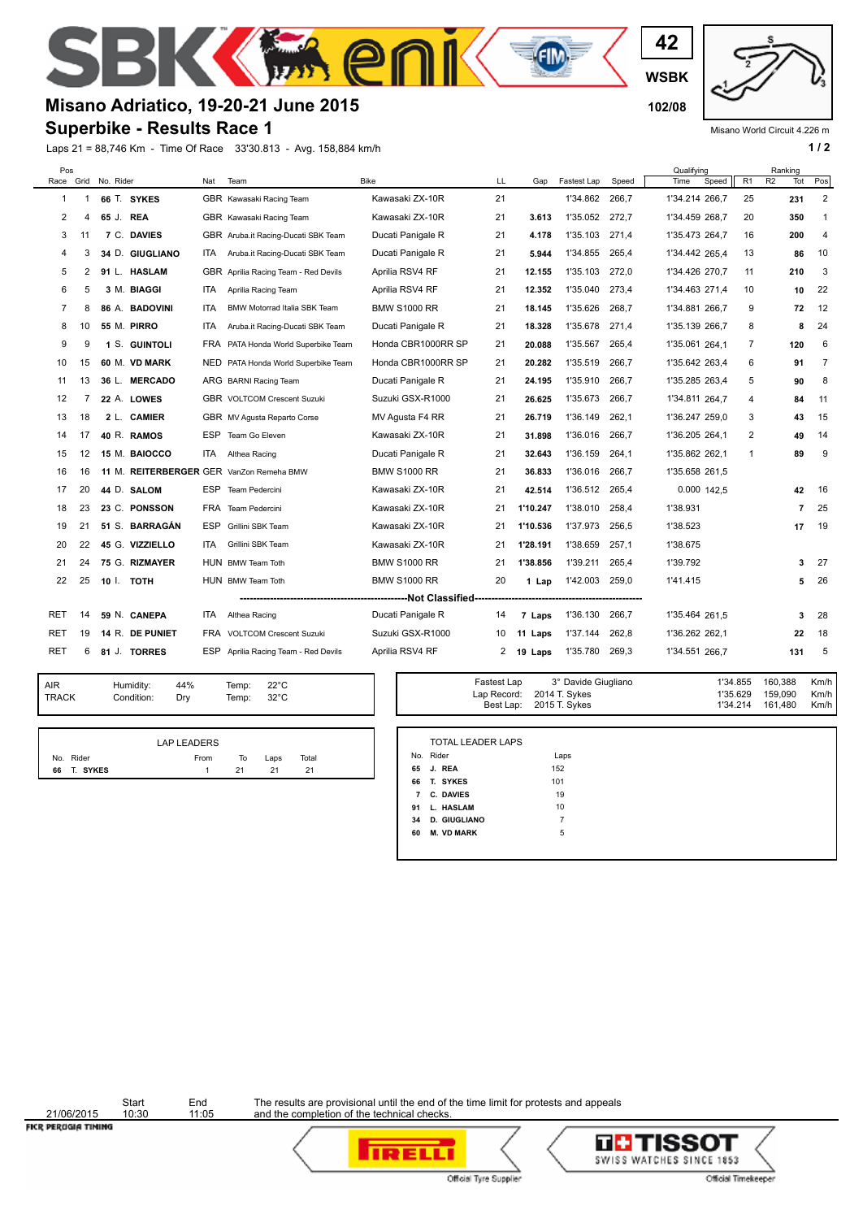**WSBK**

**42**

**E**GIM

## **Misano Adriatico, 19-20-21 June 2015 102/08**

## **Superbike - Results Race 1**

E

Laps 21 = 88,746 Km - Time Of Race 33'30.813 - Avg. 158,884 km/h **1 a 1 / 2** 

Misano World Circuit 4.226 m

| Pos<br>Race    | Grid           | No. Rider |                 | Nat  | Team                                     | <b>Bike</b>         | LL | Gap      | Fastest Lap | Speed | Qualifying<br>Time<br>Speed | R <sub>1</sub> | Ranking<br>R <sub>2</sub><br>Tot | Pos                  |
|----------------|----------------|-----------|-----------------|------|------------------------------------------|---------------------|----|----------|-------------|-------|-----------------------------|----------------|----------------------------------|----------------------|
| 1              |                |           | 66 T. SYKES     |      | GBR Kawasaki Racing Team                 | Kawasaki ZX-10R     | 21 |          | 1'34.862    | 266.7 | 1'34.214 266,7              | 25             | 231                              | $\overline{2}$       |
| 2              | 4              | 65 J. REA |                 |      | GBR Kawasaki Racing Team                 | Kawasaki ZX-10R     | 21 | 3.613    | 1'35.052    | 272,7 | 1'34.459 268,7              | 20             | 350                              | 1                    |
| 3              | 11             |           | 7 C. DAVIES     |      | GBR Aruba.it Racing-Ducati SBK Team      | Ducati Panigale R   | 21 | 4.178    | 1'35.103    | 271.4 | 1'35.473 264,7              | 16             | 200                              | 4                    |
| 4              | 3              |           | 34 D. GIUGLIANO | ITA. | Aruba.it Racing-Ducati SBK Team          | Ducati Panigale R   | 21 | 5.944    | 1'34.855    | 265,4 | 1'34.442 265.4              | 13             | 86                               | 10                   |
| 5              | $\overline{2}$ |           | 91 L. HASLAM    |      | GBR Aprilia Racing Team - Red Devils     | Aprilia RSV4 RF     | 21 | 12.155   | 1'35.103    | 272,0 | 1'34.426 270,7              | 11             | 210                              | 3                    |
| 6              | 5              |           | 3 M. BIAGGI     | ITA. | Aprilia Racing Team                      | Aprilia RSV4 RF     | 21 | 12.352   | 1'35.040    | 273,4 | 1'34.463 271.4              | 10             | 10                               | 22                   |
| $\overline{7}$ | 8              |           | 86 A. BADOVINI  | ITA. | <b>BMW Motorrad Italia SBK Team</b>      | <b>BMW S1000 RR</b> | 21 | 18.145   | 1'35.626    | 268.7 | 1'34.881 266,7              | 9              | 72                               | 12                   |
| 8              | 10             |           | 55 M. PIRRO     | ITA. | Aruba.it Racing-Ducati SBK Team          | Ducati Panigale R   | 21 | 18.328   | 1'35.678    | 271,4 | 1'35.139 266,7              | 8              |                                  | 8<br>24              |
| 9              | 9              |           | 1 S. GUINTOLI   |      | FRA PATA Honda World Superbike Team      | Honda CBR1000RR SP  | 21 | 20.088   | 1'35.567    | 265.4 | 1'35.061 264.1              | $\overline{7}$ | 120                              | 6                    |
| 10             | 15             |           | 60 M. VD MARK   |      | NED PATA Honda World Superbike Team      | Honda CBR1000RR SP  | 21 | 20.282   | 1'35.519    | 266.7 | 1'35.642 263.4              | 6              | 91                               | $\overline{7}$       |
| 11             | 13             |           | 36 L. MERCADO   |      | ARG BARNI Racing Team                    | Ducati Panigale R   | 21 | 24.195   | 1'35.910    | 266,7 | 1'35.285 263,4              | 5              | 90                               | 8                    |
| 12             | 7              |           | 22 A. LOWES     |      | <b>GBR</b> VOLTCOM Crescent Suzuki       | Suzuki GSX-R1000    | 21 | 26.625   | 1'35.673    | 266.7 | 1'34.811 264,7              | 4              | 84                               | 11                   |
| 13             | 18             |           | 2 L. CAMIER     |      | GBR MV Agusta Reparto Corse              | MV Agusta F4 RR     | 21 | 26.719   | 1'36.149    | 262.1 | 1'36.247 259,0              | 3              | 43                               | 15                   |
| 14             | 17             |           | 40 R. RAMOS     | ESP  | Team Go Eleven                           | Kawasaki ZX-10R     | 21 | 31.898   | 1'36.016    | 266,7 | 1'36.205 264,1              | 2              | 49                               | 14                   |
| 15             | 12             |           | 15 M. BAIOCCO   | ITA  | Althea Racing                            | Ducati Panigale R   | 21 | 32.643   | 1'36.159    | 264.1 | 1'35.862 262,1              | 1              | 89                               | 9                    |
| 16             | 16             |           |                 |      | 11 M. REITERBERGER GER VanZon Remeha BMW | <b>BMW S1000 RR</b> | 21 | 36.833   | 1'36.016    | 266.7 | 1'35.658 261,5              |                |                                  |                      |
| 17             | 20             |           | 44 D. SALOM     |      | ESP Team Pedercini                       | Kawasaki ZX-10R     | 21 | 42.514   | 1'36.512    | 265,4 | 0.000 142,5                 |                |                                  | 42<br>16             |
| 18             | 23             |           | 23 C. PONSSON   |      | FRA Team Pedercini                       | Kawasaki ZX-10R     | 21 | 1'10.247 | 1'38.010    | 258.4 | 1'38.931                    |                |                                  | 25<br>$\overline{7}$ |
| 19             | 21             |           | 51 S. BARRAGÁN  | ESP  | Grillini SBK Team                        | Kawasaki ZX-10R     | 21 | 1'10.536 | 1'37.973    | 256.5 | 1'38.523                    |                | 17                               | 19                   |
| 20             | 22             |           | 45 G. VIZZIELLO | ITA. | Grillini SBK Team                        | Kawasaki ZX-10R     | 21 | 1'28.191 | 1'38.659    | 257,1 | 1'38.675                    |                |                                  |                      |
| 21             | 24             |           | 75 G. RIZMAYER  |      | HUN BMW Team Toth                        | <b>BMW S1000 RR</b> | 21 | 1'38.856 | 1'39.211    | 265.4 | 1'39.792                    |                |                                  | 27<br>3              |
| 22             | 25             | 10 I.     | <b>TOTH</b>     |      | HUN BMW Team Toth                        | <b>BMW S1000 RR</b> | 20 | 1 Lap    | 1'42.003    | 259.0 | 1'41.415                    |                |                                  | 26<br>5              |
|                |                |           |                 |      |                                          |                     |    |          |             |       |                             |                |                                  |                      |
| RET            | 14             |           | 59 N. CANEPA    | ITA. | Althea Racing                            | Ducati Panigale R   | 14 | 7 Laps   | 1'36.130    | 266.7 | 1'35.464 261,5              |                |                                  | 28<br>3              |
| <b>RET</b>     | 19             |           | 14 R. DE PUNIET |      | FRA VOLTCOM Crescent Suzuki              | Suzuki GSX-R1000    | 10 | 11 Laps  | 1'37.144    | 262,8 | 1'36.262 262.1              |                | 22                               | 18                   |
| <b>RET</b>     | 6              |           | 81 J. TORRES    |      | ESP Aprilia Racing Team - Red Devils     | Aprilia RSV4 RF     | 2  | 19 Laps  | 1'35.780    | 269,3 | 1'34.551 266,7              |                | 131                              | 5                    |
|                |                |           |                 |      |                                          |                     |    |          |             |       |                             |                |                                  |                      |

 $\mathbf{e}$ 

| AIR          | Humidity:  | 44% | Τť |
|--------------|------------|-----|----|
| <b>TRACK</b> | Condition: | Dry | Τť |

| 44% | Temp: | $22^{\circ}$ C |
|-----|-------|----------------|
| Dry | Temp: | $32^{\circ}$ C |

|                | <b>LAP LEADERS</b> |    |      |       |  |
|----------------|--------------------|----|------|-------|--|
| No. Rider      | From               | то | Laps | Total |  |
| T. SYKES<br>66 |                    | 21 | 21   | 21    |  |

| Temp:<br>Temp: | $22^{\circ}$ C<br>$32^{\circ}$ C | Fastest Lap | 3° Davide Giugliano<br>Lap Record: 2014 T. Sykes | 1'34.855 160.388<br>1'35.629  159.090 | Km/h l<br>Km/h l |
|----------------|----------------------------------|-------------|--------------------------------------------------|---------------------------------------|------------------|
|                |                                  |             | Best Lap: 2015 T. Sykes                          | 1'34.214 161.480                      | Km/h l           |

|    | <b>TOTAL LEADER LAPS</b> |      |
|----|--------------------------|------|
|    | No. Rider                | Laps |
| 65 | J. REA                   | 152  |
| 66 | T. SYKES                 | 101  |
| 7  | <b>C. DAVIES</b>         | 19   |
| 91 | L. HASLAM                | 10   |
| 34 | <b>D. GIUGLIANO</b>      | 7    |
| 60 | <b>M. VD MARK</b>        | 5    |

21/06/2015<br>FICR PERUGIA TIMING

Start End<br>10:30 11:05

The results are provisional until the end of the time limit for protests and appeals and the completion of the technical checks.